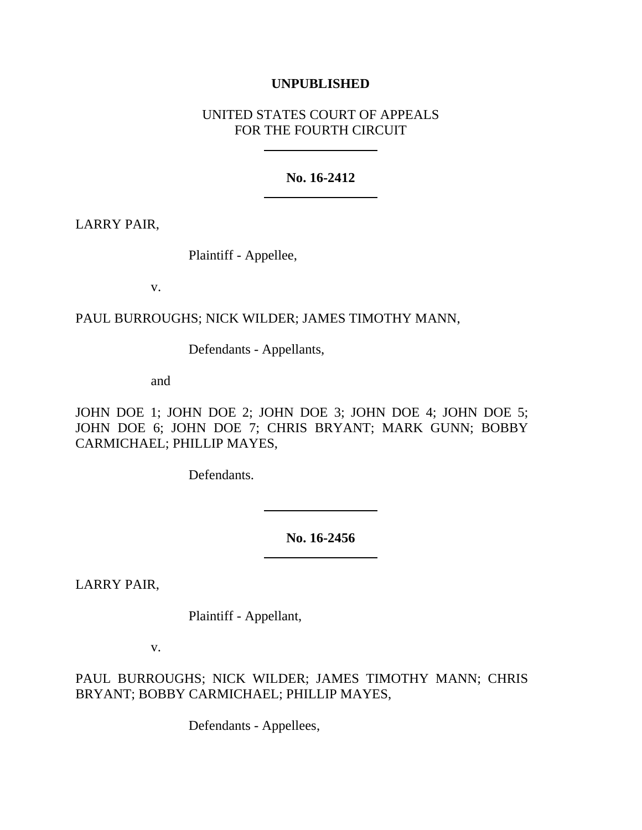### **UNPUBLISHED**

## UNITED STATES COURT OF APPEALS FOR THE FOURTH CIRCUIT

### **No. 16-2412**

LARRY PAIR,

Plaintiff - Appellee,

v.

# PAUL BURROUGHS; NICK WILDER; JAMES TIMOTHY MANN,

Defendants - Appellants,

and

JOHN DOE 1; JOHN DOE 2; JOHN DOE 3; JOHN DOE 4; JOHN DOE 5; JOHN DOE 6; JOHN DOE 7; CHRIS BRYANT; MARK GUNN; BOBBY CARMICHAEL; PHILLIP MAYES,

Defendants.

**No. 16-2456**

LARRY PAIR,

Plaintiff - Appellant,

v.

PAUL BURROUGHS; NICK WILDER; JAMES TIMOTHY MANN; CHRIS BRYANT; BOBBY CARMICHAEL; PHILLIP MAYES,

Defendants - Appellees,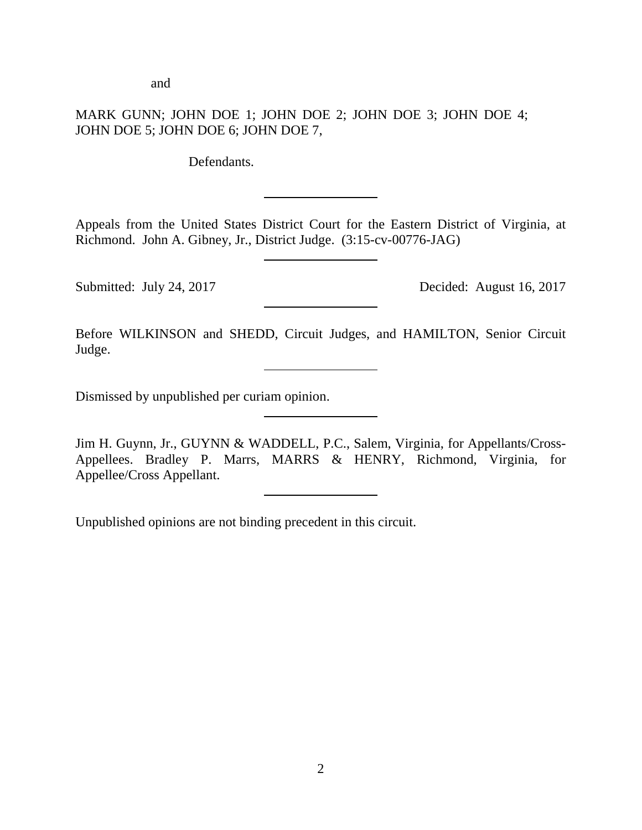and

# MARK GUNN; JOHN DOE 1; JOHN DOE 2; JOHN DOE 3; JOHN DOE 4; JOHN DOE 5; JOHN DOE 6; JOHN DOE 7,

Defendants.

Appeals from the United States District Court for the Eastern District of Virginia, at Richmond. John A. Gibney, Jr., District Judge. (3:15-cv-00776-JAG)

Submitted: July 24, 2017 Decided: August 16, 2017

Before WILKINSON and SHEDD, Circuit Judges, and HAMILTON, Senior Circuit Judge.

Dismissed by unpublished per curiam opinion.

Jim H. Guynn, Jr., GUYNN & WADDELL, P.C., Salem, Virginia, for Appellants/Cross-Appellees. Bradley P. Marrs, MARRS & HENRY, Richmond, Virginia, for Appellee/Cross Appellant.

Unpublished opinions are not binding precedent in this circuit.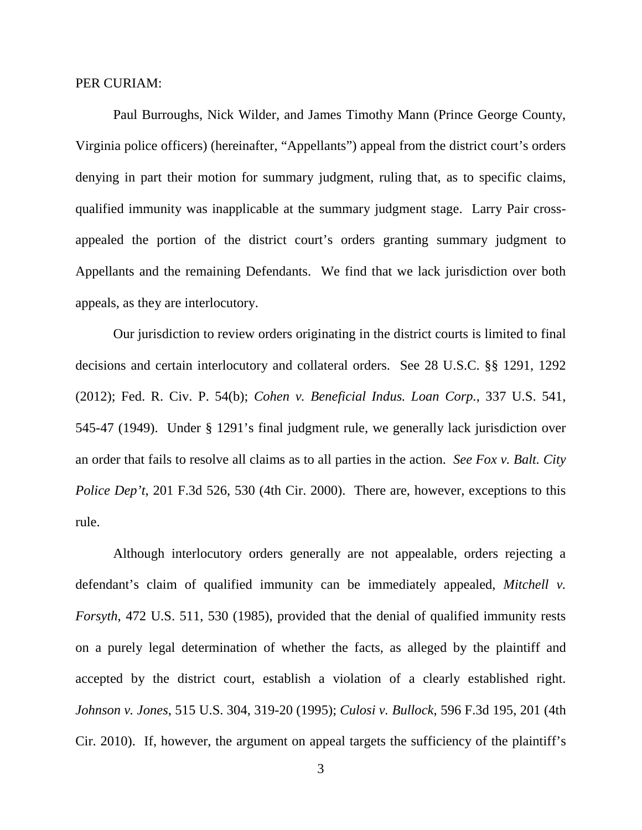#### PER CURIAM:

Paul Burroughs, Nick Wilder, and James Timothy Mann (Prince George County, Virginia police officers) (hereinafter, "Appellants") appeal from the district court's orders denying in part their motion for summary judgment, ruling that, as to specific claims, qualified immunity was inapplicable at the summary judgment stage. Larry Pair crossappealed the portion of the district court's orders granting summary judgment to Appellants and the remaining Defendants. We find that we lack jurisdiction over both appeals, as they are interlocutory.

Our jurisdiction to review orders originating in the district courts is limited to final decisions and certain interlocutory and collateral orders. See 28 U.S.C. §§ 1291, 1292 (2012); Fed. R. Civ. P. 54(b); *Cohen v. Beneficial Indus. Loan Corp.*, 337 U.S. 541, 545-47 (1949). Under § 1291's final judgment rule, we generally lack jurisdiction over an order that fails to resolve all claims as to all parties in the action. *See Fox v. Balt. City Police Dep't*, 201 F.3d 526, 530 (4th Cir. 2000). There are, however, exceptions to this rule.

Although interlocutory orders generally are not appealable, orders rejecting a defendant's claim of qualified immunity can be immediately appealed, *Mitchell v. Forsyth*, 472 U.S. 511, 530 (1985), provided that the denial of qualified immunity rests on a purely legal determination of whether the facts, as alleged by the plaintiff and accepted by the district court, establish a violation of a clearly established right. *Johnson v. Jones*, 515 U.S. 304, 319-20 (1995); *Culosi v. Bullock*, 596 F.3d 195, 201 (4th Cir. 2010). If, however, the argument on appeal targets the sufficiency of the plaintiff's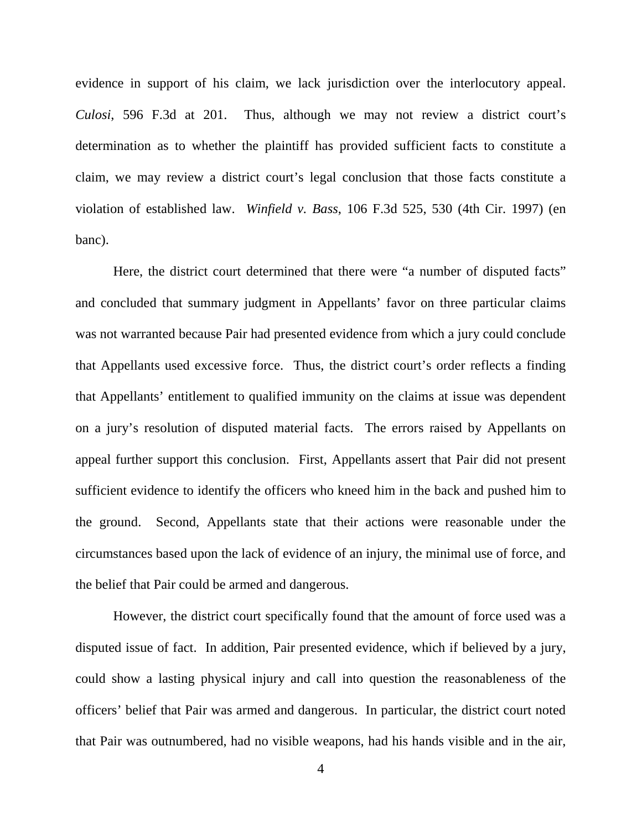evidence in support of his claim, we lack jurisdiction over the interlocutory appeal. *Culosi*, 596 F.3d at 201. Thus, although we may not review a district court's determination as to whether the plaintiff has provided sufficient facts to constitute a claim, we may review a district court's legal conclusion that those facts constitute a violation of established law. *Winfield v. Bass*, 106 F.3d 525, 530 (4th Cir. 1997) (en banc).

Here, the district court determined that there were "a number of disputed facts" and concluded that summary judgment in Appellants' favor on three particular claims was not warranted because Pair had presented evidence from which a jury could conclude that Appellants used excessive force. Thus, the district court's order reflects a finding that Appellants' entitlement to qualified immunity on the claims at issue was dependent on a jury's resolution of disputed material facts. The errors raised by Appellants on appeal further support this conclusion. First, Appellants assert that Pair did not present sufficient evidence to identify the officers who kneed him in the back and pushed him to the ground. Second, Appellants state that their actions were reasonable under the circumstances based upon the lack of evidence of an injury, the minimal use of force, and the belief that Pair could be armed and dangerous.

However, the district court specifically found that the amount of force used was a disputed issue of fact. In addition, Pair presented evidence, which if believed by a jury, could show a lasting physical injury and call into question the reasonableness of the officers' belief that Pair was armed and dangerous. In particular, the district court noted that Pair was outnumbered, had no visible weapons, had his hands visible and in the air,